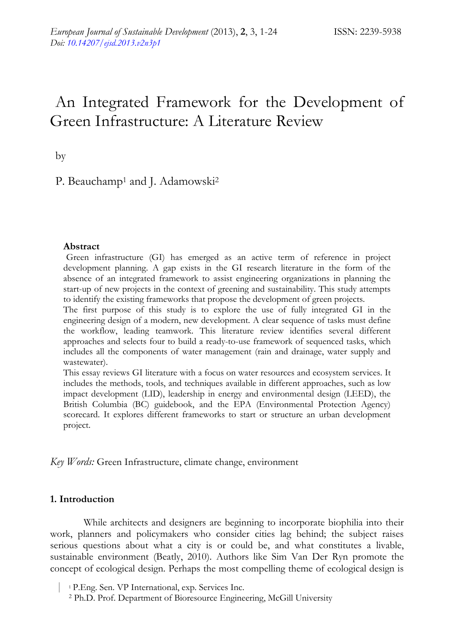# An Integrated Framework for the Development of Green Infrastructure: A Literature Review

by

P. Beauchamp<sup>1</sup> and J. Adamowski<sup>2</sup>

#### **Abstract**

Green infrastructure (GI) has emerged as an active term of reference in project development planning. A gap exists in the GI research literature in the form of the absence of an integrated framework to assist engineering organizations in planning the start-up of new projects in the context of greening and sustainability. This study attempts to identify the existing frameworks that propose the development of green projects.

The first purpose of this study is to explore the use of fully integrated GI in the engineering design of a modern, new development. A clear sequence of tasks must define the workflow, leading teamwork. This literature review identifies several different approaches and selects four to build a ready-to-use framework of sequenced tasks, which includes all the components of water management (rain and drainage, water supply and wastewater).

This essay reviews GI literature with a focus on water resources and ecosystem services. It includes the methods, tools, and techniques available in different approaches, such as low impact development (LID), leadership in energy and environmental design (LEED), the British Columbia (BC) guidebook, and the EPA (Environmental Protection Agency) scorecard. It explores different frameworks to start or structure an urban development project.

*Key Words:* Green Infrastructure, climate change, environment

#### **1. Introduction**

While architects and designers are beginning to incorporate biophilia into their work, planners and policymakers who consider cities lag behind; the subject raises serious questions about what a city is or could be, and what constitutes a livable, sustainable environment (Beatly, 2010). Authors like Sim Van Der Ryn promote the concept of ecological design. Perhaps the most compelling theme of ecological design is

| <sup>1</sup> P.Eng. Sen. VP International, exp. Services Inc.

2 Ph.D. Prof. Department of Bioresource Engineering, McGill University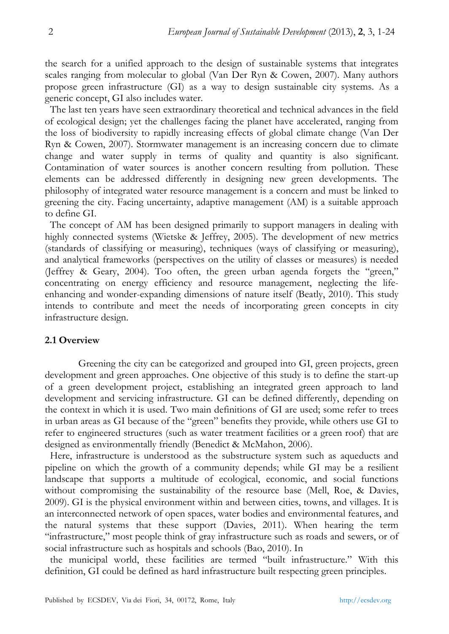the search for a unified approach to the design of sustainable systems that integrates scales ranging from molecular to global (Van Der Ryn & Cowen, 2007). Many authors propose green infrastructure (GI) as a way to design sustainable city systems. As a generic concept, GI also includes water.

The last ten years have seen extraordinary theoretical and technical advances in the field of ecological design; yet the challenges facing the planet have accelerated, ranging from the loss of biodiversity to rapidly increasing effects of global climate change (Van Der Ryn & Cowen, 2007). Stormwater management is an increasing concern due to climate change and water supply in terms of quality and quantity is also significant. Contamination of water sources is another concern resulting from pollution. These elements can be addressed differently in designing new green developments. The philosophy of integrated water resource management is a concern and must be linked to greening the city. Facing uncertainty, adaptive management (AM) is a suitable approach to define GI.

The concept of AM has been designed primarily to support managers in dealing with highly connected systems (Wietske & Jeffrey, 2005). The development of new metrics (standards of classifying or measuring), techniques (ways of classifying or measuring), and analytical frameworks (perspectives on the utility of classes or measures) is needed (Jeffrey & Geary, 2004). Too often, the green urban agenda forgets the "green," concentrating on energy efficiency and resource management, neglecting the lifeenhancing and wonder-expanding dimensions of nature itself (Beatly, 2010). This study intends to contribute and meet the needs of incorporating green concepts in city infrastructure design.

#### **2.1 Overview**

Greening the city can be categorized and grouped into GI, green projects, green development and green approaches. One objective of this study is to define the start-up of a green development project, establishing an integrated green approach to land development and servicing infrastructure. GI can be defined differently, depending on the context in which it is used. Two main definitions of GI are used; some refer to trees in urban areas as GI because of the "green" benefits they provide, while others use GI to refer to engineered structures (such as water treatment facilities or a green roof) that are designed as environmentally friendly (Benedict & McMahon, 2006).

Here, infrastructure is understood as the substructure system such as aqueducts and pipeline on which the growth of a community depends; while GI may be a resilient landscape that supports a multitude of ecological, economic, and social functions without compromising the sustainability of the resource base (Mell, Roe, & Davies, 2009). GI is the physical environment within and between cities, towns, and villages. It is an interconnected network of open spaces, water bodies and environmental features, and the natural systems that these support (Davies, 2011). When hearing the term "infrastructure," most people think of gray infrastructure such as roads and sewers, or of social infrastructure such as hospitals and schools (Bao, 2010). In

the municipal world, these facilities are termed "built infrastructure." With this definition, GI could be defined as hard infrastructure built respecting green principles.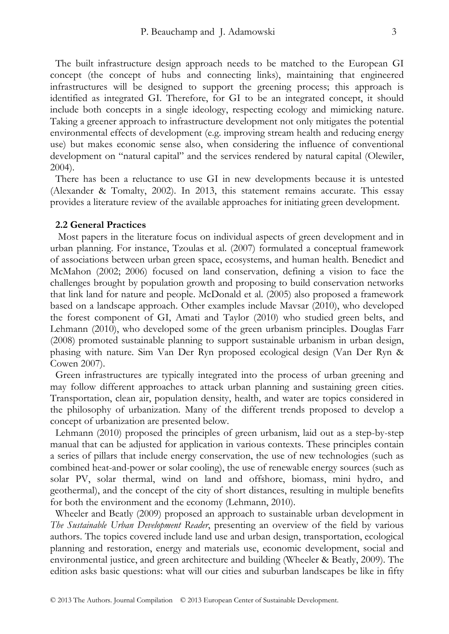The built infrastructure design approach needs to be matched to the European GI concept (the concept of hubs and connecting links), maintaining that engineered infrastructures will be designed to support the greening process; this approach is identified as integrated GI. Therefore, for GI to be an integrated concept, it should include both concepts in a single ideology, respecting ecology and mimicking nature. Taking a greener approach to infrastructure development not only mitigates the potential environmental effects of development (e.g. improving stream health and reducing energy use) but makes economic sense also, when considering the influence of conventional development on "natural capital" and the services rendered by natural capital (Olewiler, 2004).

There has been a reluctance to use GI in new developments because it is untested (Alexander & Tomalty, 2002). In 2013, this statement remains accurate. This essay provides a literature review of the available approaches for initiating green development.

#### **2.2 General Practices**

 Most papers in the literature focus on individual aspects of green development and in urban planning. For instance, Tzoulas et al. (2007) formulated a conceptual framework of associations between urban green space, ecosystems, and human health. Benedict and McMahon (2002; 2006) focused on land conservation, defining a vision to face the challenges brought by population growth and proposing to build conservation networks that link land for nature and people. McDonald et al. (2005) also proposed a framework based on a landscape approach. Other examples include Mavsar (2010), who developed the forest component of GI, Amati and Taylor (2010) who studied green belts, and Lehmann (2010), who developed some of the green urbanism principles. Douglas Farr (2008) promoted sustainable planning to support sustainable urbanism in urban design, phasing with nature. Sim Van Der Ryn proposed ecological design (Van Der Ryn & Cowen 2007).

Green infrastructures are typically integrated into the process of urban greening and may follow different approaches to attack urban planning and sustaining green cities. Transportation, clean air, population density, health, and water are topics considered in the philosophy of urbanization. Many of the different trends proposed to develop a concept of urbanization are presented below.

Lehmann (2010) proposed the principles of green urbanism, laid out as a step-by-step manual that can be adjusted for application in various contexts. These principles contain a series of pillars that include energy conservation, the use of new technologies (such as combined heat-and-power or solar cooling), the use of renewable energy sources (such as solar PV, solar thermal, wind on land and offshore, biomass, mini hydro, and geothermal), and the concept of the city of short distances, resulting in multiple benefits for both the environment and the economy (Lehmann, 2010).

Wheeler and Beatly (2009) proposed an approach to sustainable urban development in *The Sustainable Urban Development Reader*, presenting an overview of the field by various authors. The topics covered include land use and urban design, transportation, ecological planning and restoration, energy and materials use, economic development, social and environmental justice, and green architecture and building (Wheeler & Beatly, 2009). The edition asks basic questions: what will our cities and suburban landscapes be like in fifty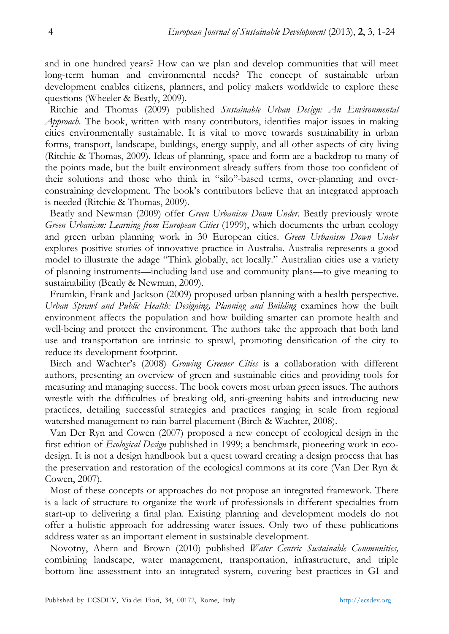and in one hundred years? How can we plan and develop communities that will meet long-term human and environmental needs? The concept of sustainable urban development enables citizens, planners, and policy makers worldwide to explore these questions (Wheeler & Beatly, 2009).

Ritchie and Thomas (2009) published *Sustainable Urban Design: An Environmental Approach*. The book, written with many contributors, identifies major issues in making cities environmentally sustainable. It is vital to move towards sustainability in urban forms, transport, landscape, buildings, energy supply, and all other aspects of city living (Ritchie & Thomas, 2009). Ideas of planning, space and form are a backdrop to many of the points made, but the built environment already suffers from those too confident of their solutions and those who think in "silo''-based terms, over-planning and overconstraining development. The book's contributors believe that an integrated approach is needed (Ritchie & Thomas, 2009).

Beatly and Newman (2009) offer *Green Urbanism Down Under*. Beatly previously wrote *Green Urbanism: Learning from European Cities* (1999), which documents the urban ecology and green urban planning work in 30 European cities. *Green Urbanism Down Under* explores positive stories of innovative practice in Australia. Australia represents a good model to illustrate the adage "Think globally, act locally." Australian cities use a variety of planning instruments—including land use and community plans—to give meaning to sustainability (Beatly & Newman, 2009).

Frumkin, Frank and Jackson (2009) proposed urban planning with a health perspective. *Urban Sprawl and Public Health: Designing, Planning and Building* examines how the built environment affects the population and how building smarter can promote health and well-being and protect the environment. The authors take the approach that both land use and transportation are intrinsic to sprawl, promoting densification of the city to reduce its development footprint.

Birch and Wachter's (2008) *Growing Greener Cities* is a collaboration with different authors, presenting an overview of green and sustainable cities and providing tools for measuring and managing success. The book covers most urban green issues. The authors wrestle with the difficulties of breaking old, anti-greening habits and introducing new practices, detailing successful strategies and practices ranging in scale from regional watershed management to rain barrel placement (Birch & Wachter, 2008).

Van Der Ryn and Cowen (2007) proposed a new concept of ecological design in the first edition of *Ecological Design* published in 1999; a benchmark, pioneering work in ecodesign. It is not a design handbook but a quest toward creating a design process that has the preservation and restoration of the ecological commons at its core (Van Der Ryn & Cowen, 2007).

Most of these concepts or approaches do not propose an integrated framework. There is a lack of structure to organize the work of professionals in different specialties from start-up to delivering a final plan. Existing planning and development models do not offer a holistic approach for addressing water issues. Only two of these publications address water as an important element in sustainable development.

Novotny, Ahern and Brown (2010) published *Water Centric Sustainable Communities,* combining landscape, water management, transportation, infrastructure, and triple bottom line assessment into an integrated system, covering best practices in GI and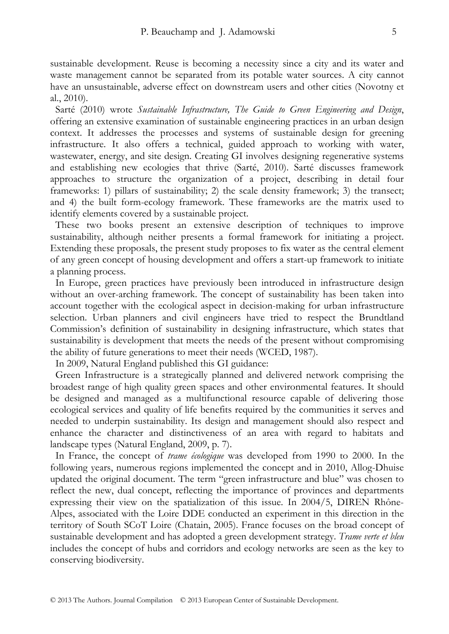sustainable development. Reuse is becoming a necessity since a city and its water and waste management cannot be separated from its potable water sources. A city cannot have an unsustainable, adverse effect on downstream users and other cities (Novotny et al., 2010).

Sarté (2010) wrote *Sustainable Infrastructure, The Guide to Green Engineering and Design*, offering an extensive examination of sustainable engineering practices in an urban design context. It addresses the processes and systems of sustainable design for greening infrastructure. It also offers a technical, guided approach to working with water, wastewater, energy, and site design. Creating GI involves designing regenerative systems and establishing new ecologies that thrive (Sarté, 2010). Sarté discusses framework approaches to structure the organization of a project, describing in detail four frameworks: 1) pillars of sustainability; 2) the scale density framework; 3) the transect; and 4) the built form-ecology framework. These frameworks are the matrix used to identify elements covered by a sustainable project.

These two books present an extensive description of techniques to improve sustainability, although neither presents a formal framework for initiating a project. Extending these proposals, the present study proposes to fix water as the central element of any green concept of housing development and offers a start-up framework to initiate a planning process.

In Europe, green practices have previously been introduced in infrastructure design without an over-arching framework. The concept of sustainability has been taken into account together with the ecological aspect in decision-making for urban infrastructure selection. Urban planners and civil engineers have tried to respect the Brundtland Commission's definition of sustainability in designing infrastructure, which states that sustainability is development that meets the needs of the present without compromising the ability of future generations to meet their needs (WCED, 1987).

In 2009, Natural England published this GI guidance:

Green Infrastructure is a strategically planned and delivered network comprising the broadest range of high quality green spaces and other environmental features. It should be designed and managed as a multifunctional resource capable of delivering those ecological services and quality of life benefits required by the communities it serves and needed to underpin sustainability. Its design and management should also respect and enhance the character and distinctiveness of an area with regard to habitats and landscape types (Natural England, 2009, p. 7).

In France, the concept of *trame écologique* was developed from 1990 to 2000. In the following years, numerous regions implemented the concept and in 2010, Allog-Dhuise updated the original document. The term "green infrastructure and blue" was chosen to reflect the new, dual concept, reflecting the importance of provinces and departments expressing their view on the spatialization of this issue. In 2004/5, DIREN Rhône-Alpes, associated with the Loire DDE conducted an experiment in this direction in the territory of South SCoT Loire (Chatain, 2005). France focuses on the broad concept of sustainable development and has adopted a green development strategy. *Trame verte et bleu*  includes the concept of hubs and corridors and ecology networks are seen as the key to conserving biodiversity.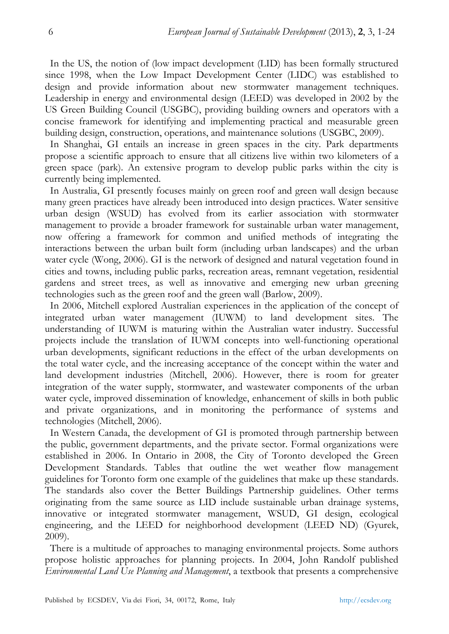In the US, the notion of (low impact development (LID) has been formally structured since 1998, when the Low Impact Development Center (LIDC) was established to design and provide information about new stormwater management techniques. Leadership in energy and environmental design (LEED) was developed in 2002 by the US Green Building Council (USGBC), providing building owners and operators with a concise framework for identifying and implementing practical and measurable green building design, construction, operations, and maintenance solutions (USGBC, 2009).

In Shanghai, GI entails an increase in green spaces in the city. Park departments propose a scientific approach to ensure that all citizens live within two kilometers of a green space (park). An extensive program to develop public parks within the city is currently being implemented.

In Australia, GI presently focuses mainly on green roof and green wall design because many green practices have already been introduced into design practices. Water sensitive urban design (WSUD) has evolved from its earlier association with stormwater management to provide a broader framework for sustainable urban water management, now offering a framework for common and unified methods of integrating the interactions between the urban built form (including urban landscapes) and the urban water cycle (Wong, 2006). GI is the network of designed and natural vegetation found in cities and towns, including public parks, recreation areas, remnant vegetation, residential gardens and street trees, as well as innovative and emerging new urban greening technologies such as the green roof and the green wall (Barlow, 2009).

In 2006, Mitchell explored Australian experiences in the application of the concept of integrated urban water management (IUWM) to land development sites. The understanding of IUWM is maturing within the Australian water industry. Successful projects include the translation of IUWM concepts into well-functioning operational urban developments, significant reductions in the effect of the urban developments on the total water cycle, and the increasing acceptance of the concept within the water and land development industries (Mitchell, 2006). However, there is room for greater integration of the water supply, stormwater, and wastewater components of the urban water cycle, improved dissemination of knowledge, enhancement of skills in both public and private organizations, and in monitoring the performance of systems and technologies (Mitchell, 2006).

In Western Canada, the development of GI is promoted through partnership between the public, government departments, and the private sector. Formal organizations were established in 2006. In Ontario in 2008, the City of Toronto developed the Green Development Standards. Tables that outline the wet weather flow management guidelines for Toronto form one example of the guidelines that make up these standards. The standards also cover the Better Buildings Partnership guidelines. Other terms originating from the same source as LID include sustainable urban drainage systems, innovative or integrated stormwater management, WSUD, GI design, ecological engineering, and the LEED for neighborhood development (LEED ND) (Gyurek, 2009).

There is a multitude of approaches to managing environmental projects. Some authors propose holistic approaches for planning projects. In 2004, John Randolf published *Environmental Land Use Planning and Management*, a textbook that presents a comprehensive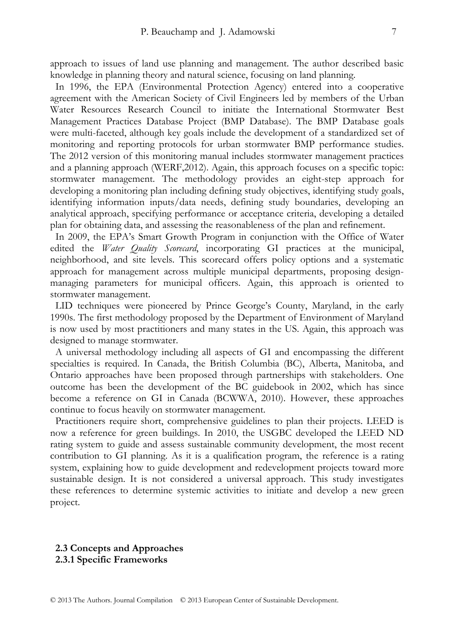approach to issues of land use planning and management. The author described basic knowledge in planning theory and natural science, focusing on land planning.

In 1996, the EPA (Environmental Protection Agency) entered into a cooperative agreement with the American Society of Civil Engineers led by members of the Urban Water Resources Research Council to initiate the International Stormwater Best Management Practices Database Project (BMP Database). The BMP Database goals were multi-faceted, although key goals include the development of a standardized set of monitoring and reporting protocols for urban stormwater BMP performance studies. The 2012 version of this monitoring manual includes stormwater management practices and a planning approach (WERF,2012). Again, this approach focuses on a specific topic: stormwater management. The methodology provides an eight-step approach for developing a monitoring plan including defining study objectives, identifying study goals, identifying information inputs/data needs, defining study boundaries, developing an analytical approach, specifying performance or acceptance criteria, developing a detailed plan for obtaining data, and assessing the reasonableness of the plan and refinement.

In 2009, the EPA's Smart Growth Program in conjunction with the Office of Water edited the *Water Quality Scorecard*, incorporating GI practices at the municipal, neighborhood, and site levels. This scorecard offers policy options and a systematic approach for management across multiple municipal departments, proposing designmanaging parameters for municipal officers. Again, this approach is oriented to stormwater management.

LID techniques were pioneered by Prince George's County, Maryland, in the early 1990s. The first methodology proposed by the Department of Environment of Maryland is now used by most practitioners and many states in the US. Again, this approach was designed to manage stormwater.

A universal methodology including all aspects of GI and encompassing the different specialties is required. In Canada, the British Columbia (BC), Alberta, Manitoba, and Ontario approaches have been proposed through partnerships with stakeholders. One outcome has been the development of the BC guidebook in 2002, which has since become a reference on GI in Canada (BCWWA, 2010). However, these approaches continue to focus heavily on stormwater management.

Practitioners require short, comprehensive guidelines to plan their projects. LEED is now a reference for green buildings. In 2010, the USGBC developed the LEED ND rating system to guide and assess sustainable community development, the most recent contribution to GI planning. As it is a qualification program, the reference is a rating system, explaining how to guide development and redevelopment projects toward more sustainable design. It is not considered a universal approach. This study investigates these references to determine systemic activities to initiate and develop a new green project.

#### **2.3 Concepts and Approaches 2.3.1 Specific Frameworks**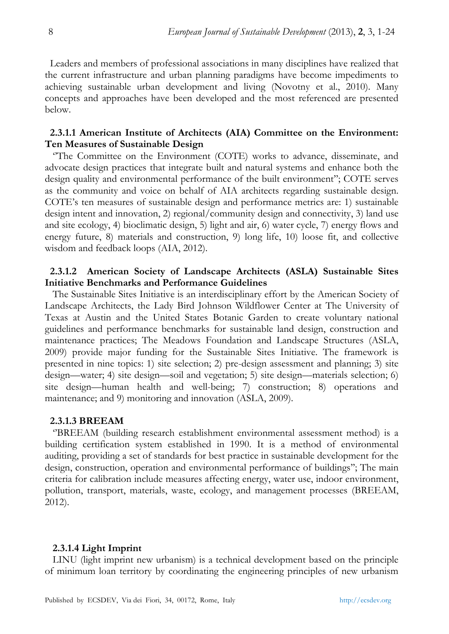Leaders and members of professional associations in many disciplines have realized that the current infrastructure and urban planning paradigms have become impediments to achieving sustainable urban development and living (Novotny et al., 2010). Many concepts and approaches have been developed and the most referenced are presented below.

# **2.3.1.1 American Institute of Architects (AIA) Committee on the Environment: Ten Measures of Sustainable Design**

 ''The Committee on the Environment (COTE) works to advance, disseminate, and advocate design practices that integrate built and natural systems and enhance both the design quality and environmental performance of the built environment''; COTE serves as the community and voice on behalf of AIA architects regarding sustainable design. COTE's ten measures of sustainable design and performance metrics are: 1) sustainable design intent and innovation, 2) regional/community design and connectivity, 3) land use and site ecology, 4) bioclimatic design, 5) light and air, 6) water cycle, 7) energy flows and energy future, 8) materials and construction, 9) long life, 10) loose fit, and collective wisdom and feedback loops (AIA, 2012).

# **2.3.1.2 American Society of Landscape Architects (ASLA) Sustainable Sites Initiative Benchmarks and Performance Guidelines**

 The Sustainable Sites Initiative is an interdisciplinary effort by the American Society of Landscape Architects, the Lady Bird Johnson Wildflower Center at The University of Texas at Austin and the United States Botanic Garden to create voluntary national guidelines and performance benchmarks for sustainable land design, construction and maintenance practices; The Meadows Foundation and Landscape Structures (ASLA, 2009) provide major funding for the Sustainable Sites Initiative. The framework is presented in nine topics: 1) site selection; 2) pre-design assessment and planning; 3) site design—water; 4) site design—soil and vegetation; 5) site design—materials selection; 6) site design—human health and well-being; 7) construction; 8) operations and maintenance; and 9) monitoring and innovation (ASLA, 2009).

#### **2.3.1.3 BREEAM**

 ''BREEAM (building research establishment environmental assessment method) is a building certification system established in 1990. It is a method of environmental auditing, providing a set of standards for best practice in sustainable development for the design, construction, operation and environmental performance of buildings''; The main criteria for calibration include measures affecting energy, water use, indoor environment, pollution, transport, materials, waste, ecology, and management processes (BREEAM, 2012).

#### **2.3.1.4 Light Imprint**

 LINU (light imprint new urbanism) is a technical development based on the principle of minimum loan territory by coordinating the engineering principles of new urbanism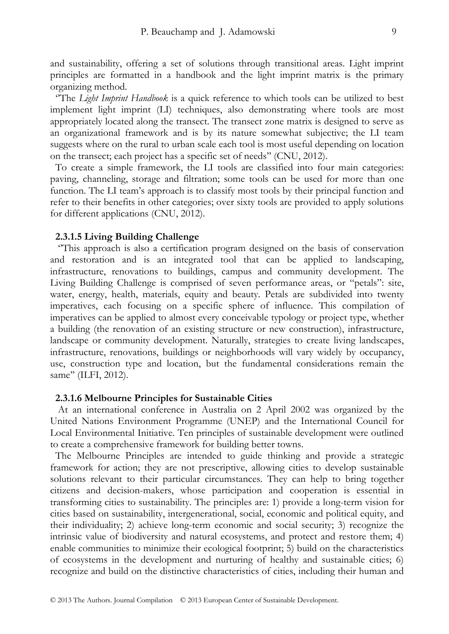and sustainability, offering a set of solutions through transitional areas. Light imprint principles are formatted in a handbook and the light imprint matrix is the primary organizing method.

''The *Light Imprint Handbook* is a quick reference to which tools can be utilized to best implement light imprint (LI) techniques, also demonstrating where tools are most appropriately located along the transect. The transect zone matrix is designed to serve as an organizational framework and is by its nature somewhat subjective; the LI team suggests where on the rural to urban scale each tool is most useful depending on location on the transect; each project has a specific set of needs'' (CNU, 2012).

To create a simple framework, the LI tools are classified into four main categories: paving, channeling, storage and filtration; some tools can be used for more than one function. The LI team's approach is to classify most tools by their principal function and refer to their benefits in other categories; over sixty tools are provided to apply solutions for different applications (CNU, 2012).

#### **2.3.1.5 Living Building Challenge**

 ''This approach is also a certification program designed on the basis of conservation and restoration and is an integrated tool that can be applied to landscaping, infrastructure, renovations to buildings, campus and community development. The Living Building Challenge is comprised of seven performance areas, or "petals": site, water, energy, health, materials, equity and beauty. Petals are subdivided into twenty imperatives, each focusing on a specific sphere of influence. This compilation of imperatives can be applied to almost every conceivable typology or project type, whether a building (the renovation of an existing structure or new construction), infrastructure, landscape or community development. Naturally, strategies to create living landscapes, infrastructure, renovations, buildings or neighborhoods will vary widely by occupancy, use, construction type and location, but the fundamental considerations remain the same'' (ILFI, 2012).

#### **2.3.1.6 Melbourne Principles for Sustainable Cities**

 At an international conference in Australia on 2 April 2002 was organized by the United Nations Environment Programme (UNEP) and the International Council for Local Environmental Initiative. Ten principles of sustainable development were outlined to create a comprehensive framework for building better towns.

The Melbourne Principles are intended to guide thinking and provide a strategic framework for action; they are not prescriptive, allowing cities to develop sustainable solutions relevant to their particular circumstances. They can help to bring together citizens and decision-makers, whose participation and cooperation is essential in transforming cities to sustainability. The principles are: 1) provide a long-term vision for cities based on sustainability, intergenerational, social, economic and political equity, and their individuality; 2) achieve long-term economic and social security; 3) recognize the intrinsic value of biodiversity and natural ecosystems, and protect and restore them; 4) enable communities to minimize their ecological footprint; 5) build on the characteristics of ecosystems in the development and nurturing of healthy and sustainable cities; 6) recognize and build on the distinctive characteristics of cities, including their human and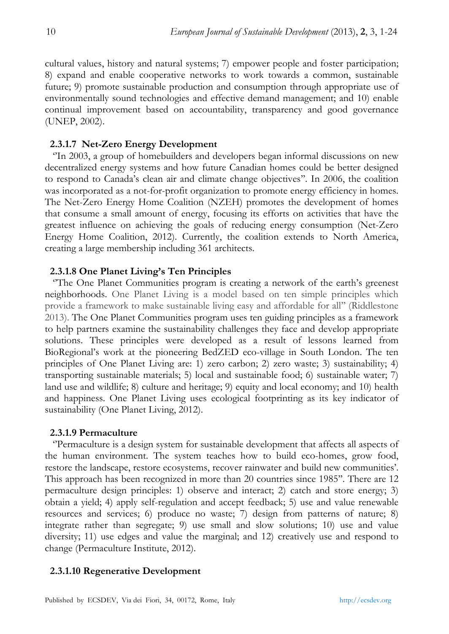cultural values, history and natural systems; 7) empower people and foster participation; 8) expand and enable cooperative networks to work towards a common, sustainable future; 9) promote sustainable production and consumption through appropriate use of environmentally sound technologies and effective demand management; and 10) enable continual improvement based on accountability, transparency and good governance (UNEP, 2002).

# **2.3.1.7 Net-Zero Energy Development**

 ''In 2003, a group of homebuilders and developers began informal discussions on new decentralized energy systems and how future Canadian homes could be better designed to respond to Canada's clean air and climate change objectives''. In 2006, the coalition was incorporated as a not-for-profit organization to promote energy efficiency in homes. The Net-Zero Energy Home Coalition (NZEH) promotes the development of homes that consume a small amount of energy, focusing its efforts on activities that have the greatest influence on achieving the goals of reducing energy consumption (Net-Zero Energy Home Coalition, 2012). Currently, the coalition extends to North America, creating a large membership including 361 architects.

# **2.3.1.8 One Planet Living's Ten Principles**

 ''The One Planet Communities program is creating a network of the earth's greenest neighborhoods. One Planet Living is a model based on ten simple principles which provide a framework to make sustainable living easy and affordable for all'' (Riddlestone 2013). The One Planet Communities program uses ten guiding principles as a framework to help partners examine the sustainability challenges they face and develop appropriate solutions. These principles were developed as a result of lessons learned from BioRegional's work at the pioneering BedZED eco-village in South London. The ten principles of One Planet Living are: 1) zero carbon; 2) zero waste; 3) sustainability; 4) transporting sustainable materials; 5) local and sustainable food; 6) sustainable water; 7) land use and wildlife; 8) culture and heritage; 9) equity and local economy; and 10) health and happiness. One Planet Living uses ecological footprinting as its key indicator of sustainability (One Planet Living, 2012).

# **2.3.1.9 Permaculture**

 ''Permaculture is a design system for sustainable development that affects all aspects of the human environment. The system teaches how to build eco-homes, grow food, restore the landscape, restore ecosystems, recover rainwater and build new communities'. This approach has been recognized in more than 20 countries since 1985''. There are 12 permaculture design principles: 1) observe and interact; 2) catch and store energy; 3) obtain a yield; 4) apply self-regulation and accept feedback; 5) use and value renewable resources and services; 6) produce no waste; 7) design from patterns of nature; 8) integrate rather than segregate; 9) use small and slow solutions; 10) use and value diversity; 11) use edges and value the marginal; and 12) creatively use and respond to change (Permaculture Institute, 2012).

# **2.3.1.10 Regenerative Development**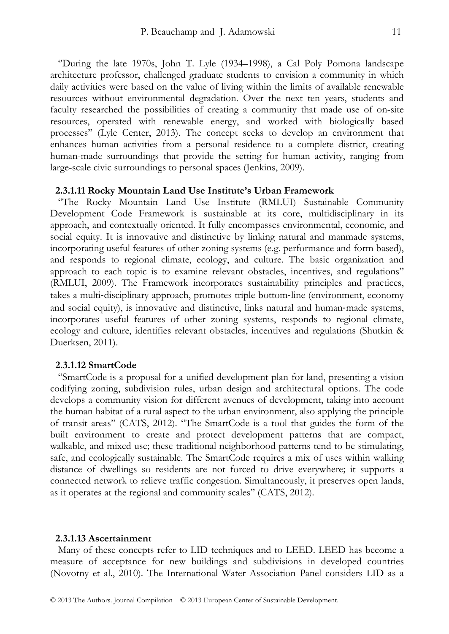''During the late 1970s, John T. Lyle (1934–1998), a Cal Poly Pomona landscape architecture professor, challenged graduate students to envision a community in which daily activities were based on the value of living within the limits of available renewable resources without environmental degradation. Over the next ten years, students and faculty researched the possibilities of creating a community that made use of on-site resources, operated with renewable energy, and worked with biologically based processes'' (Lyle Center, 2013). The concept seeks to develop an environment that enhances human activities from a personal residence to a complete district, creating human-made surroundings that provide the setting for human activity, ranging from large-scale civic surroundings to personal spaces (Jenkins, 2009).

#### **2.3.1.11 Rocky Mountain Land Use Institute's Urban Framework**

 ''The Rocky Mountain Land Use Institute (RMLUI) Sustainable Community Development Code Framework is sustainable at its core, multidisciplinary in its approach, and contextually oriented. It fully encompasses environmental, economic, and social equity. It is innovative and distinctive by linking natural and manmade systems, incorporating useful features of other zoning systems (e.g. performance and form based), and responds to regional climate, ecology, and culture. The basic organization and approach to each topic is to examine relevant obstacles, incentives, and regulations'' (RMLUI, 2009). The Framework incorporates sustainability principles and practices, takes a multi‐disciplinary approach, promotes triple bottom‐line (environment, economy and social equity), is innovative and distinctive, links natural and human-made systems, incorporates useful features of other zoning systems, responds to regional climate, ecology and culture, identifies relevant obstacles, incentives and regulations (Shutkin & Duerksen, 2011).

#### **2.3.1.12 SmartCode**

 ''SmartCode is a proposal for a unified development plan for land, presenting a vision codifying zoning, subdivision rules, urban design and architectural options. The code develops a community vision for different avenues of development, taking into account the human habitat of a rural aspect to the urban environment, also applying the principle of transit areas'' (CATS, 2012). ''The SmartCode is a tool that guides the form of the built environment to create and protect development patterns that are compact, walkable, and mixed use; these traditional neighborhood patterns tend to be stimulating, safe, and ecologically sustainable. The SmartCode requires a mix of uses within walking distance of dwellings so residents are not forced to drive everywhere; it supports a connected network to relieve traffic congestion. Simultaneously, it preserves open lands, as it operates at the regional and community scales'' (CATS, 2012).

#### **2.3.1.13 Ascertainment**

 Many of these concepts refer to LID techniques and to LEED. LEED has become a measure of acceptance for new buildings and subdivisions in developed countries (Novotny et al., 2010). The International Water Association Panel considers LID as a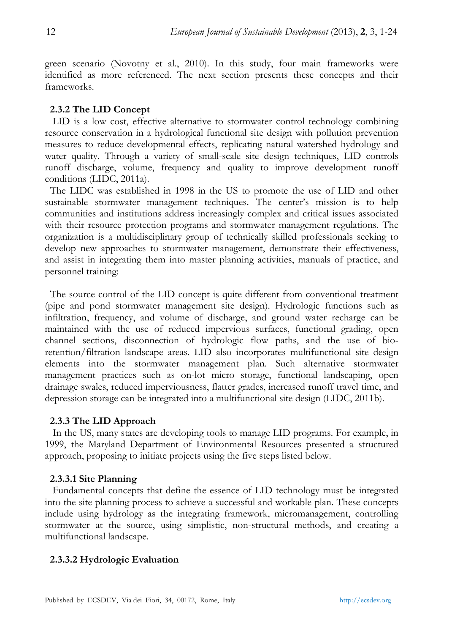green scenario (Novotny et al., 2010). In this study, four main frameworks were identified as more referenced. The next section presents these concepts and their frameworks.

# **2.3.2 The LID Concept**

 LID is a low cost, effective alternative to stormwater control technology combining resource conservation in a hydrological functional site design with pollution prevention measures to reduce developmental effects, replicating natural watershed hydrology and water quality. Through a variety of small-scale site design techniques, LID controls runoff discharge, volume, frequency and quality to improve development runoff conditions (LIDC, 2011a).

The LIDC was established in 1998 in the US to promote the use of LID and other sustainable stormwater management techniques. The center's mission is to help communities and institutions address increasingly complex and critical issues associated with their resource protection programs and stormwater management regulations. The organization is a multidisciplinary group of technically skilled professionals seeking to develop new approaches to stormwater management, demonstrate their effectiveness, and assist in integrating them into master planning activities, manuals of practice, and personnel training:

The source control of the LID concept is quite different from conventional treatment (pipe and pond stormwater management site design). Hydrologic functions such as infiltration, frequency, and volume of discharge, and ground water recharge can be maintained with the use of reduced impervious surfaces, functional grading, open channel sections, disconnection of hydrologic flow paths, and the use of bioretention/filtration landscape areas. LID also incorporates multifunctional site design elements into the stormwater management plan. Such alternative stormwater management practices such as on-lot micro storage, functional landscaping, open drainage swales, reduced imperviousness, flatter grades, increased runoff travel time, and depression storage can be integrated into a multifunctional site design (LIDC, 2011b).

# **2.3.3 The LID Approach**

 In the US, many states are developing tools to manage LID programs. For example, in 1999, the Maryland Department of Environmental Resources presented a structured approach, proposing to initiate projects using the five steps listed below.

# **2.3.3.1 Site Planning**

 Fundamental concepts that define the essence of LID technology must be integrated into the site planning process to achieve a successful and workable plan. These concepts include using hydrology as the integrating framework, micromanagement, controlling stormwater at the source, using simplistic, non-structural methods, and creating a multifunctional landscape.

# **2.3.3.2 Hydrologic Evaluation**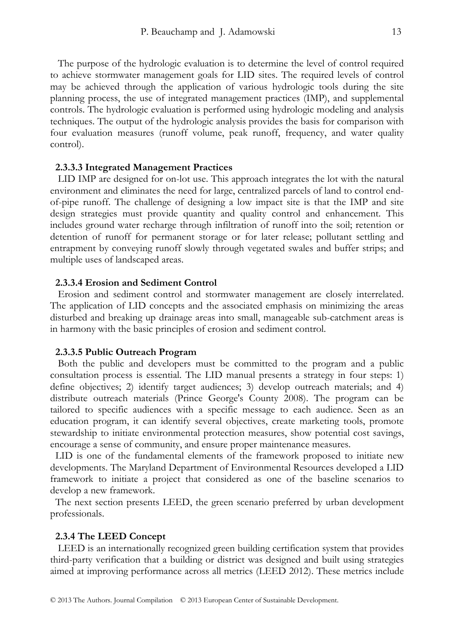The purpose of the hydrologic evaluation is to determine the level of control required to achieve stormwater management goals for LID sites. The required levels of control may be achieved through the application of various hydrologic tools during the site planning process, the use of integrated management practices (IMP), and supplemental controls. The hydrologic evaluation is performed using hydrologic modeling and analysis techniques. The output of the hydrologic analysis provides the basis for comparison with four evaluation measures (runoff volume, peak runoff, frequency, and water quality control).

#### **2.3.3.3 Integrated Management Practices**

 LID IMP are designed for on-lot use. This approach integrates the lot with the natural environment and eliminates the need for large, centralized parcels of land to control endof-pipe runoff. The challenge of designing a low impact site is that the IMP and site design strategies must provide quantity and quality control and enhancement. This includes ground water recharge through infiltration of runoff into the soil; retention or detention of runoff for permanent storage or for later release; pollutant settling and entrapment by conveying runoff slowly through vegetated swales and buffer strips; and multiple uses of landscaped areas.

#### **2.3.3.4 Erosion and Sediment Control**

 Erosion and sediment control and stormwater management are closely interrelated. The application of LID concepts and the associated emphasis on minimizing the areas disturbed and breaking up drainage areas into small, manageable sub-catchment areas is in harmony with the basic principles of erosion and sediment control.

#### **2.3.3.5 Public Outreach Program**

 Both the public and developers must be committed to the program and a public consultation process is essential. The LID manual presents a strategy in four steps: 1) define objectives; 2) identify target audiences; 3) develop outreach materials; and 4) distribute outreach materials (Prince George's County 2008). The program can be tailored to specific audiences with a specific message to each audience. Seen as an education program, it can identify several objectives, create marketing tools, promote stewardship to initiate environmental protection measures, show potential cost savings, encourage a sense of community, and ensure proper maintenance measures.

LID is one of the fundamental elements of the framework proposed to initiate new developments. The Maryland Department of Environmental Resources developed a LID framework to initiate a project that considered as one of the baseline scenarios to develop a new framework.

The next section presents LEED, the green scenario preferred by urban development professionals.

#### **2.3.4 The LEED Concept**

 LEED is an internationally recognized green building certification system that provides third-party verification that a building or district was designed and built using strategies aimed at improving performance across all metrics (LEED 2012). These metrics include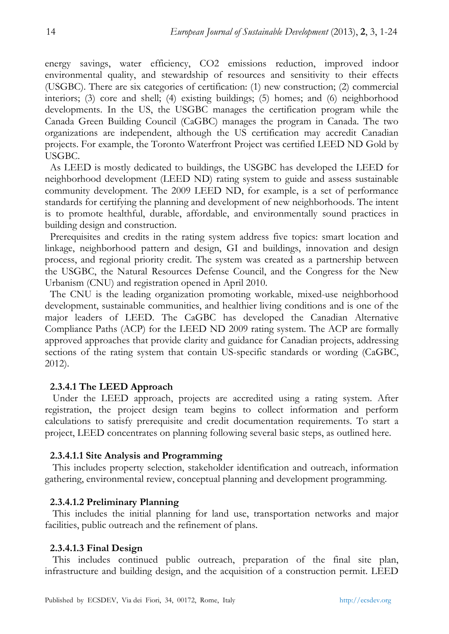energy savings, water efficiency, CO2 emissions reduction, improved indoor environmental quality, and stewardship of resources and sensitivity to their effects (USGBC). There are six categories of certification: (1) new construction; (2) commercial interiors; (3) core and shell; (4) existing buildings; (5) homes; and (6) neighborhood developments. In the US, the USGBC manages the certification program while the Canada Green Building Council (CaGBC) manages the program in Canada. The two organizations are independent, although the US certification may accredit Canadian projects. For example, the Toronto Waterfront Project was certified LEED ND Gold by USGBC.

As LEED is mostly dedicated to buildings, the USGBC has developed the LEED for neighborhood development (LEED ND) rating system to guide and assess sustainable community development. The 2009 LEED ND, for example, is a set of performance standards for certifying the planning and development of new neighborhoods. The intent is to promote healthful, durable, affordable, and environmentally sound practices in building design and construction.

Prerequisites and credits in the rating system address five topics: smart location and linkage, neighborhood pattern and design, GI and buildings, innovation and design process, and regional priority credit. The system was created as a partnership between the USGBC, the Natural Resources Defense Council, and the Congress for the New Urbanism (CNU) and registration opened in April 2010.

The CNU is the leading organization promoting workable, mixed-use neighborhood development, sustainable communities, and healthier living conditions and is one of the major leaders of LEED. The CaGBC has developed the Canadian Alternative Compliance Paths (ACP) for the LEED ND 2009 rating system. The ACP are formally approved approaches that provide clarity and guidance for Canadian projects, addressing sections of the rating system that contain US-specific standards or wording (CaGBC, 2012).

# **2.3.4.1 The LEED Approach**

 Under the LEED approach, projects are accredited using a rating system. After registration, the project design team begins to collect information and perform calculations to satisfy prerequisite and credit documentation requirements. To start a project, LEED concentrates on planning following several basic steps, as outlined here.

#### **2.3.4.1.1 Site Analysis and Programming**

 This includes property selection, stakeholder identification and outreach, information gathering, environmental review, conceptual planning and development programming.

#### **2.3.4.1.2 Preliminary Planning**

 This includes the initial planning for land use, transportation networks and major facilities, public outreach and the refinement of plans.

#### **2.3.4.1.3 Final Design**

 This includes continued public outreach, preparation of the final site plan, infrastructure and building design, and the acquisition of a construction permit. LEED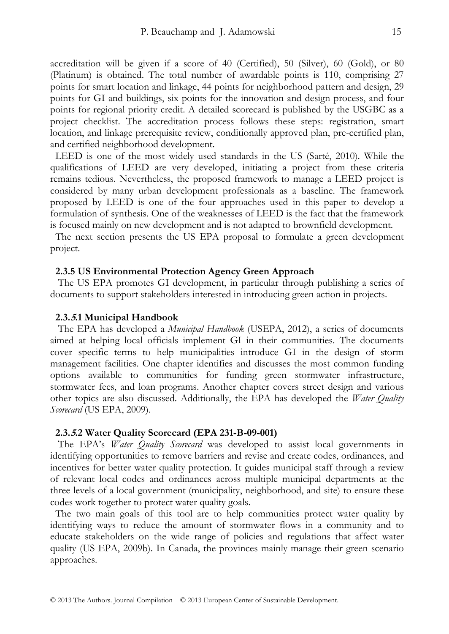accreditation will be given if a score of 40 (Certified), 50 (Silver), 60 (Gold), or 80 (Platinum) is obtained. The total number of awardable points is 110, comprising 27 points for smart location and linkage, 44 points for neighborhood pattern and design, 29 points for GI and buildings, six points for the innovation and design process, and four points for regional priority credit. A detailed scorecard is published by the USGBC as a project checklist. The accreditation process follows these steps: registration, smart location, and linkage prerequisite review, conditionally approved plan, pre-certified plan, and certified neighborhood development.

LEED is one of the most widely used standards in the US (Sarté, 2010). While the qualifications of LEED are very developed, initiating a project from these criteria remains tedious. Nevertheless, the proposed framework to manage a LEED project is considered by many urban development professionals as a baseline. The framework proposed by LEED is one of the four approaches used in this paper to develop a formulation of synthesis. One of the weaknesses of LEED is the fact that the framework is focused mainly on new development and is not adapted to brownfield development.

The next section presents the US EPA proposal to formulate a green development project.

#### **2.3.5 US Environmental Protection Agency Green Approach**

 The US EPA promotes GI development, in particular through publishing a series of documents to support stakeholders interested in introducing green action in projects.

#### **2.3.5.1 Municipal Handbook**

 The EPA has developed a *Municipal Handbook* (USEPA, 2012), a series of documents aimed at helping local officials implement GI in their communities. The documents cover specific terms to help municipalities introduce GI in the design of storm management facilities. One chapter identifies and discusses the most common funding options available to communities for funding green stormwater infrastructure, stormwater fees, and loan programs. Another chapter covers street design and various other topics are also discussed. Additionally, the EPA has developed the *Water Quality Scorecard* (US EPA, 2009).

#### **2.3.5.2 Water Quality Scorecard (EPA 231-B-09-001)**

 The EPA's *Water Quality Scorecard* was developed to assist local governments in identifying opportunities to remove barriers and revise and create codes, ordinances, and incentives for better water quality protection. It guides municipal staff through a review of relevant local codes and ordinances across multiple municipal departments at the three levels of a local government (municipality, neighborhood, and site) to ensure these codes work together to protect water quality goals.

The two main goals of this tool are to help communities protect water quality by identifying ways to reduce the amount of stormwater flows in a community and to educate stakeholders on the wide range of policies and regulations that affect water quality (US EPA, 2009b). In Canada, the provinces mainly manage their green scenario approaches.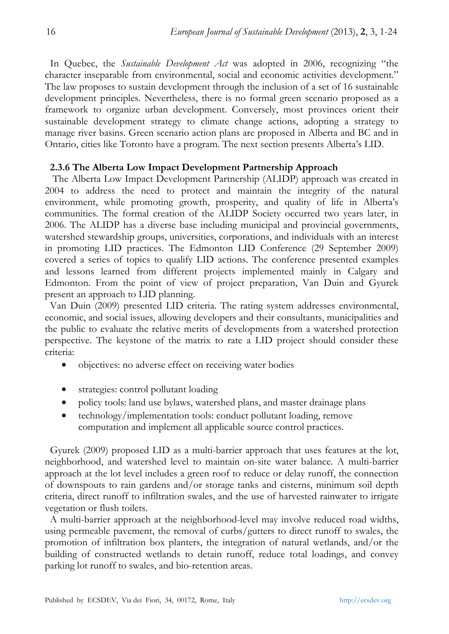In Quebec, the *Sustainable Development Act* was adopted in 2006, recognizing "the character inseparable from environmental, social and economic activities development." The law proposes to sustain development through the inclusion of a set of 16 sustainable development principles. Nevertheless, there is no formal green scenario proposed as a framework to organize urban development. Conversely, most provinces orient their sustainable development strategy to climate change actions, adopting a strategy to manage river basins. Green scenario action plans are proposed in Alberta and BC and in Ontario, cities like Toronto have a program. The next section presents Alberta's LID.

# **2.3.6 The Alberta Low Impact Development Partnership Approach**

 The Alberta Low Impact Development Partnership (ALIDP) approach was created in 2004 to address the need to protect and maintain the integrity of the natural environment, while promoting growth, prosperity, and quality of life in Alberta's communities. The formal creation of the ALIDP Society occurred two years later, in 2006. The ALIDP has a diverse base including municipal and provincial governments, watershed stewardship groups, universities, corporations, and individuals with an interest in promoting LID practices. The Edmonton LID Conference (29 September 2009) covered a series of topics to qualify LID actions. The conference presented examples and lessons learned from different projects implemented mainly in Calgary and Edmonton. From the point of view of project preparation, Van Duin and Gyurek present an approach to LID planning.

Van Duin (2009) presented LID criteria. The rating system addresses environmental, economic, and social issues, allowing developers and their consultants, municipalities and the public to evaluate the relative merits of developments from a watershed protection perspective. The keystone of the matrix to rate a LID project should consider these criteria:

- objectives: no adverse effect on receiving water bodies
- strategies: control pollutant loading
- policy tools: land use bylaws, watershed plans, and master drainage plans
- technology/implementation tools: conduct pollutant loading, remove computation and implement all applicable source control practices.

Gyurek (2009) proposed LID as a multi-barrier approach that uses features at the lot, neighborhood, and watershed level to maintain on-site water balance. A multi-barrier approach at the lot level includes a green roof to reduce or delay runoff, the connection of downspouts to rain gardens and/or storage tanks and cisterns, minimum soil depth criteria, direct runoff to infiltration swales, and the use of harvested rainwater to irrigate vegetation or flush toilets.

A multi-barrier approach at the neighborhood-level may involve reduced road widths, using permeable pavement, the removal of curbs/gutters to direct runoff to swales, the promotion of infiltration box planters, the integration of natural wetlands, and/or the building of constructed wetlands to detain runoff, reduce total loadings, and convey parking lot runoff to swales, and bio-retention areas.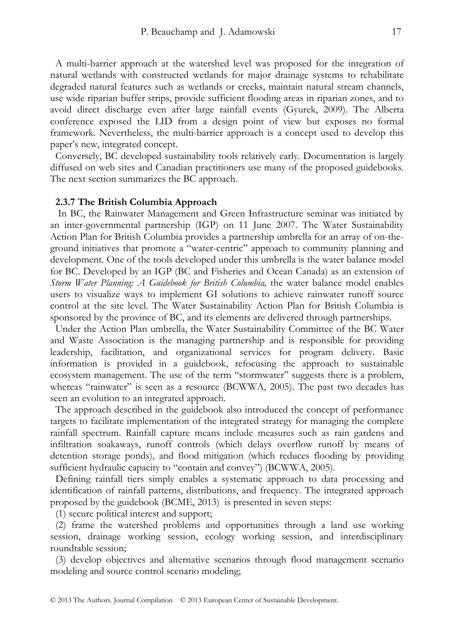A multi-barrier approach at the watershed level was proposed for the integration of natural wetlands with constructed wetlands for major drainage systems to rehabilitate degraded natural features such as wetlands or creeks, maintain natural stream channels, use wide riparian buffer strips, provide sufficient flooding areas in riparian zones, and to avoid direct discharge even after large rainfall events (Gyurek, 2009). The Alberta conference exposed the LID from a design point of view but exposes no formal framework. Nevertheless, the multi-barrier approach is a concept used to develop this paper's new, integrated concept.

Conversely, BC developed sustainability tools relatively early. Documentation is largely diffused on web sites and Canadian practitioners use many of the proposed guidebooks. The next section summarizes the BC approach.

#### **2.3.7 The British Columbia Approach**

 In BC, the Rainwater Management and Green Infrastructure seminar was initiated by an inter-governmental partnership (IGP) on 11 June 2007. The Water Sustainability Action Plan for British Columbia provides a partnership umbrella for an array of on-theground initiatives that promote a "water-centric" approach to community planning and development. One of the tools developed under this umbrella is the water balance model for BC. Developed by an IGP (BC and Fisheries and Ocean Canada) as an extension of *Storm Water Planning: A Guidebook for British Columbia,* the water balance model enables users to visualize ways to implement GI solutions to achieve rainwater runoff source control at the site level. The Water Sustainability Action Plan for British Columbia is sponsored by the province of BC, and its elements are delivered through partnerships.

Under the Action Plan umbrella, the Water Sustainability Committee of the BC Water and Waste Association is the managing partnership and is responsible for providing leadership, facilitation, and organizational services for program delivery. Basic information is provided in a guidebook, refocusing the approach to sustainable ecosystem management. The use of the term "stormwater" suggests there is a problem, whereas "rainwater" is seen as a resource (BCWWA, 2005). The past two decades has seen an evolution to an integrated approach.

The approach described in the guidebook also introduced the concept of performance targets to facilitate implementation of the integrated strategy for managing the complete rainfall spectrum. Rainfall capture means include measures such as rain gardens and infiltration soakaways, runoff controls (which delays overflow runoff by means of detention storage ponds), and flood mitigation (which reduces flooding by providing sufficient hydraulic capacity to "contain and convey") (BCWWA, 2005).

Defining rainfall tiers simply enables a systematic approach to data processing and identification of rainfall patterns, distributions, and frequency. The integrated approach proposed by the guidebook (BCME, 2013) is presented in seven steps:

(1) secure political interest and support;

(2) frame the watershed problems and opportunities through a land use working session, drainage working session, ecology working session, and interdisciplinary roundtable session;

(3) develop objectives and alternative scenarios through flood management scenario modeling and source control scenario modeling;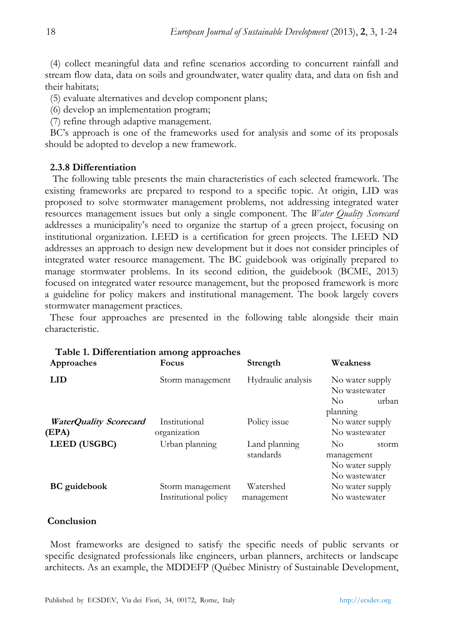(4) collect meaningful data and refine scenarios according to concurrent rainfall and stream flow data, data on soils and groundwater, water quality data, and data on fish and their habitats;

(5) evaluate alternatives and develop component plans;

(6) develop an implementation program;

(7) refine through adaptive management.

BC's approach is one of the frameworks used for analysis and some of its proposals should be adopted to develop a new framework.

# **2.3.8 Differentiation**

 The following table presents the main characteristics of each selected framework. The existing frameworks are prepared to respond to a specific topic. At origin, LID was proposed to solve stormwater management problems, not addressing integrated water resources management issues but only a single component. The *Water Quality Scorecard* addresses a municipality's need to organize the startup of a green project, focusing on institutional organization. LEED is a certification for green projects. The LEED ND addresses an approach to design new development but it does not consider principles of integrated water resource management. The BC guidebook was originally prepared to manage stormwater problems. In its second edition, the guidebook (BCME, 2013) focused on integrated water resource management, but the proposed framework is more a guideline for policy makers and institutional management. The book largely covers stormwater management practices.

These four approaches are presented in the following table alongside their main characteristic.

| Table 1. Differentiation among approaches<br>Approaches | Focus                                    | Strength                   | Weakness                                                                    |
|---------------------------------------------------------|------------------------------------------|----------------------------|-----------------------------------------------------------------------------|
| LID                                                     | Storm management                         | Hydraulic analysis         | No water supply<br>No wastewater<br>urban<br>$\overline{N}_{0}$<br>planning |
| <b>WaterQuality Scorecard</b><br>(EPA)                  | Institutional<br>organization            | Policy issue               | No water supply<br>No wastewater                                            |
| <b>LEED</b> (USGBC)                                     | Urban planning                           | Land planning<br>standards | No.<br>storm<br>management<br>No water supply<br>No wastewater              |
| <b>BC</b> guidebook                                     | Storm management<br>Institutional policy | Watershed<br>management    | No water supply<br>No wastewater                                            |

#### **Conclusion**

Most frameworks are designed to satisfy the specific needs of public servants or specific designated professionals like engineers, urban planners, architects or landscape architects. As an example, the MDDEFP (Québec Ministry of Sustainable Development,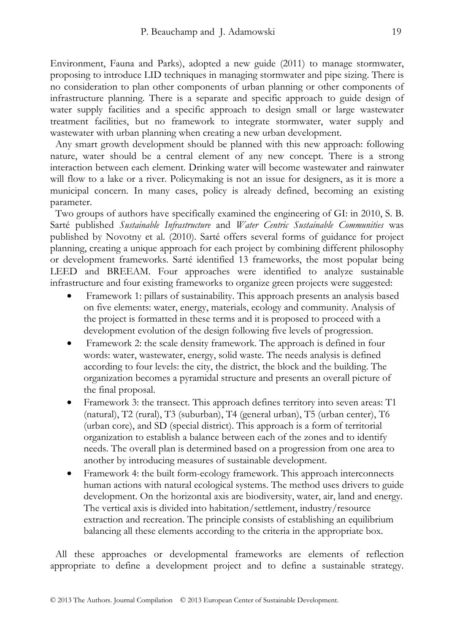Environment, Fauna and Parks), adopted a new guide (2011) to manage stormwater, proposing to introduce LID techniques in managing stormwater and pipe sizing. There is no consideration to plan other components of urban planning or other components of infrastructure planning. There is a separate and specific approach to guide design of water supply facilities and a specific approach to design small or large wastewater treatment facilities, but no framework to integrate stormwater, water supply and wastewater with urban planning when creating a new urban development.

Any smart growth development should be planned with this new approach: following nature, water should be a central element of any new concept. There is a strong interaction between each element. Drinking water will become wastewater and rainwater will flow to a lake or a river. Policymaking is not an issue for designers, as it is more a municipal concern. In many cases, policy is already defined, becoming an existing parameter.

Two groups of authors have specifically examined the engineering of GI: in 2010, S. B. Sarté published *Sustainable Infrastructure* and *Water Centric Sustainable Communities* was published by Novotny et al. (2010). Sarté offers several forms of guidance for project planning, creating a unique approach for each project by combining different philosophy or development frameworks. Sarté identified 13 frameworks, the most popular being LEED and BREEAM. Four approaches were identified to analyze sustainable infrastructure and four existing frameworks to organize green projects were suggested:

- Framework 1: pillars of sustainability. This approach presents an analysis based on five elements: water, energy, materials, ecology and community. Analysis of the project is formatted in these terms and it is proposed to proceed with a development evolution of the design following five levels of progression.
- Framework 2: the scale density framework. The approach is defined in four words: water, wastewater, energy, solid waste. The needs analysis is defined according to four levels: the city, the district, the block and the building. The organization becomes a pyramidal structure and presents an overall picture of the final proposal.
- Framework 3: the transect. This approach defines territory into seven areas: T1 (natural), T2 (rural), T3 (suburban), T4 (general urban), T5 (urban center), T6 (urban core), and SD (special district). This approach is a form of territorial organization to establish a balance between each of the zones and to identify needs. The overall plan is determined based on a progression from one area to another by introducing measures of sustainable development.
- Framework 4: the built form-ecology framework. This approach interconnects human actions with natural ecological systems. The method uses drivers to guide development. On the horizontal axis are biodiversity, water, air, land and energy. The vertical axis is divided into habitation/settlement, industry/resource extraction and recreation. The principle consists of establishing an equilibrium balancing all these elements according to the criteria in the appropriate box.

All these approaches or developmental frameworks are elements of reflection appropriate to define a development project and to define a sustainable strategy.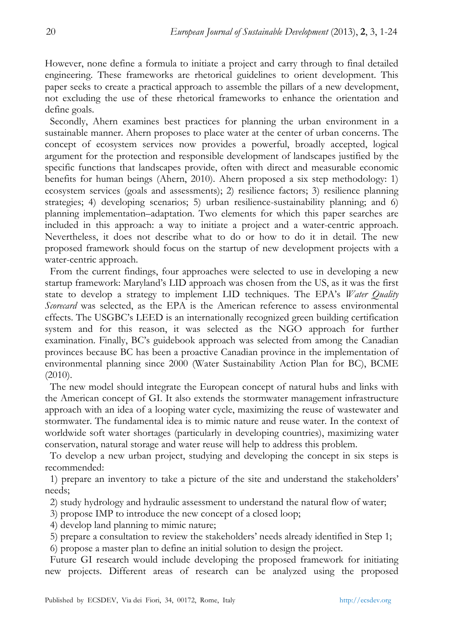However, none define a formula to initiate a project and carry through to final detailed engineering. These frameworks are rhetorical guidelines to orient development. This paper seeks to create a practical approach to assemble the pillars of a new development, not excluding the use of these rhetorical frameworks to enhance the orientation and define goals.

Secondly, Ahern examines best practices for planning the urban environment in a sustainable manner. Ahern proposes to place water at the center of urban concerns. The concept of ecosystem services now provides a powerful, broadly accepted, logical argument for the protection and responsible development of landscapes justified by the specific functions that landscapes provide, often with direct and measurable economic benefits for human beings (Ahern, 2010). Ahern proposed a six step methodology: 1) ecosystem services (goals and assessments); 2) resilience factors; 3) resilience planning strategies; 4) developing scenarios; 5) urban resilience-sustainability planning; and 6) planning implementation–adaptation. Two elements for which this paper searches are included in this approach: a way to initiate a project and a water-centric approach. Nevertheless, it does not describe what to do or how to do it in detail. The new proposed framework should focus on the startup of new development projects with a water-centric approach.

From the current findings, four approaches were selected to use in developing a new startup framework: Maryland's LID approach was chosen from the US, as it was the first state to develop a strategy to implement LID techniques. The EPA's *Water Quality Scorecard* was selected, as the EPA is the American reference to assess environmental effects. The USGBC's LEED is an internationally recognized green building certification system and for this reason, it was selected as the NGO approach for further examination. Finally, BC's guidebook approach was selected from among the Canadian provinces because BC has been a proactive Canadian province in the implementation of environmental planning since 2000 (Water Sustainability Action Plan for BC), BCME (2010).

The new model should integrate the European concept of natural hubs and links with the American concept of GI. It also extends the stormwater management infrastructure approach with an idea of a looping water cycle, maximizing the reuse of wastewater and stormwater. The fundamental idea is to mimic nature and reuse water. In the context of worldwide soft water shortages (particularly in developing countries), maximizing water conservation, natural storage and water reuse will help to address this problem.

To develop a new urban project, studying and developing the concept in six steps is recommended:

1) prepare an inventory to take a picture of the site and understand the stakeholders' needs;

2) study hydrology and hydraulic assessment to understand the natural flow of water;

3) propose IMP to introduce the new concept of a closed loop;

4) develop land planning to mimic nature;

5) prepare a consultation to review the stakeholders' needs already identified in Step 1;

6) propose a master plan to define an initial solution to design the project.

Future GI research would include developing the proposed framework for initiating new projects. Different areas of research can be analyzed using the proposed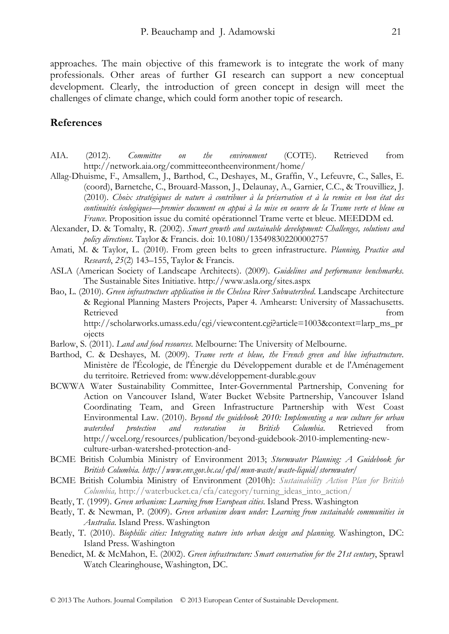approaches. The main objective of this framework is to integrate the work of many professionals. Other areas of further GI research can support a new conceptual development. Clearly, the introduction of green concept in design will meet the challenges of climate change, which could form another topic of research.

# **References**

- AIA. (2012). *Committee on the environment* (COTE). Retrieved from http://network.aia.org/committeeontheenvironment/home/
- Allag-Dhuisme, F., Amsallem, J., Barthod, C., Deshayes, M., Graffin, V., Lefeuvre, C., Salles, E. (coord), Barnetche, C., Brouard-Masson, J., Delaunay, A., Garnier, C.C., & Trouvilliez, J. (2010). *Choix stratégiques de nature à contribuer à la préservation et à la remise en bon état des continuités écologiques—premier document en appui à la mise en oeuvre de la Trame verte et bleue en France*. Proposition issue du comité opérationnel Trame verte et bleue. MEEDDM ed.
- Alexander, D. & Tomalty, R. (2002). *Smart growth and sustainable development: Challenges, solutions and policy directions*. Taylor & Francis. doi: 10.1080/135498302200002757
- Amati, M. & Taylor, L. (2010). From green belts to green infrastructure. *Planning, Practice and Research*, *25*(2) 143–155, Taylor & Francis.
- ASLA (American Society of Landscape Architects). (2009). *Guidelines and performance benchmarks*. The Sustainable Sites Initiative. http://www.asla.org/sites.aspx
- Bao, L. (2010). *Green infrastructure application in the Chelsea River Subwatershed*. Landscape Architecture & Regional Planning Masters Projects, Paper 4. Amhearst: University of Massachusetts. Retrieved from http://scholarworks.umass.edu/cgi/viewcontent.cgi?article=1003&context=larp\_ms\_pr ojects
- Barlow, S. (2011). *Land and food resources*. Melbourne: The University of Melbourne.
- Barthod, C. & Deshayes, M. (2009). *Trame verte et bleue, the French green and blue infrastructure*. Ministère de l'Écologie, de l'Énergie du Développement durable et de l'Aménagement du territoire. Retrieved from: www.développement-durable.gouv
- BCWWA Water Sustainability Committee, Inter-Governmental Partnership, Convening for Action on Vancouver Island, Water Bucket Website Partnership, Vancouver Island Coordinating Team, and Green Infrastructure Partnership with West Coast Environmental Law. (2010). *Beyond the guidebook 2010: Implementing a new culture for urban watershed protection and restoration in British Columbia*. Retrieved from http://wcel.org/resources/publication/beyond-guidebook-2010-implementing-newculture-urban-watershed-protection-and-
- BCME British Columbia Ministry of Environment 2013; *Stormwater Planning: A Guidebook for British Columbia. http://www.env.gov.bc.ca/epd/mun-waste/waste-liquid/stormwater/*
- BCME British Columbia Ministry of Environment (2010h): *Sustainability Action Plan for British Columbia,* http://waterbucket.ca/cfa/category/turning\_ideas\_into\_action/
- Beatly, T. (1999). *Green urbanism: Learning from European cities*. Island Press. Washington
- Beatly, T. & Newman, P. (2009). *Green urbanism down under: Learning from sustainable communities in Australia*. Island Press. Washington
- Beatly, T. (2010). *Biophilic cities: Integrating nature into urban design and planning*. Washington, DC: Island Press. Washington
- Benedict, M. & McMahon, E. (2002). *Green infrastructure: Smart conservation for the 21st century*, Sprawl Watch Clearinghouse, Washington, DC.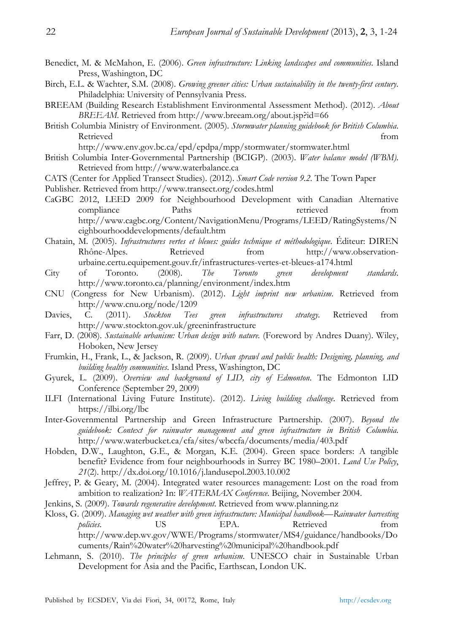- Benedict, M. & McMahon, E. (2006). *Green infrastructure: Linking landscapes and communities*. Island Press, Washington, DC
- Birch, E.L. & Wachter, S.M. (2008). *Growing greener cities: Urban sustainability in the twenty-first century*. Philadelphia: University of Pennsylvania Press.
- BREEAM (Building Research Establishment Environmental Assessment Method). (2012). *About BREEAM*. Retrieved from http://www.breeam.org/about.jsp?id=66
- British Columbia Ministry of Environment. (2005). *Stormwater planning guidebook for British Columbia*. Retrieved from

http://www.env.gov.bc.ca/epd/epdpa/mpp/stormwater/stormwater.html

- British Columbia Inter-Governmental Partnership (BCIGP). (2003). *Water balance model (WBM)*. Retrieved from http://www.waterbalance.ca
- CATS (Center for Applied Transect Studies). (2012). *Smart Code version 9.2*. The Town Paper
- Publisher. Retrieved from http://www.transect.org/codes.html
- CaGBC 2012, LEED 2009 for Neighbourhood Development with Canadian Alternative compliance Paths Paths retrieved from http://www.cagbc.org/Content/NavigationMenu/Programs/LEED/RatingSystems/N eighbourhooddevelopments/default.htm
- Chatain, M. (2005). *Infrastructures vertes et bleues: guides technique et méthodologique*. Éditeur: DIREN Rhône-Alpes. Retrieved from http://www.observationurbaine.certu.equipement.gouv.fr/infrastructures-vertes-et-bleues-a174.html
- City of Toronto. (2008). *The Toronto green development standards*. http://www.toronto.ca/planning/environment/index.htm
- CNU (Congress for New Urbanism). (2012). *Light imprint new urbanism*. Retrieved from http://www.cnu.org/node/1209
- Davies, C. (2011). *Stockton Tees green infrastructures strategy*. Retrieved from http://www.stockton.gov.uk/greeninfrastructure
- Farr, D. (2008). *Sustainable urbanism: Urban design with nature.* (Foreword by Andres Duany). Wiley, Hoboken, New Jersey
- Frumkin, H., Frank, L., & Jackson, R. (2009). *Urban sprawl and public health: Designing, planning, and building healthy communities*. Island Press, Washington, DC
- Gyurek, L. (2009). *Overview and background of LID, city of Edmonton*. The Edmonton LID Conference (September 29, 2009)
- ILFI (International Living Future Institute). (2012). *Living building challenge*. Retrieved from https://ilbi.org/lbc
- Inter-Governmental Partnership and Green Infrastructure Partnership. (2007). *Beyond the guidebook: Context for rainwater management and green infrastructure in British Columbia*. http://www.waterbucket.ca/cfa/sites/wbccfa/documents/media/403.pdf
- Hobden, D.W., Laughton, G.E., & Morgan, K.E. (2004). Green space borders: A tangible benefit? Evidence from four neighbourhoods in Surrey BC 1980–2001. *Land Use Policy*, *21*(2). http://dx.doi.org/10.1016/j.landusepol.2003.10.002
- Jeffrey, P. & Geary, M. (2004). Integrated water resources management: Lost on the road from ambition to realization? In: *WATERMAX Conference.* Beijing, November 2004.
- Jenkins, S. (2009). *Towards regenerative development*. Retrieved from www.planning.nz
- Kloss, G. (2009). *Managing wet weather with green infrastructure: Municipal handbook—Rainwater harvesting*  policies. US US EPA. Retrieved from http://www.dep.wv.gov/WWE/Programs/stormwater/MS4/guidance/handbooks/Do cuments/Rain%20water%20harvesting%20municipal%20handbook.pdf
- Lehmann, S. (2010). *The principles of green urbanism*. UNESCO chair in Sustainable Urban Development for Asia and the Pacific, Earthscan, London UK.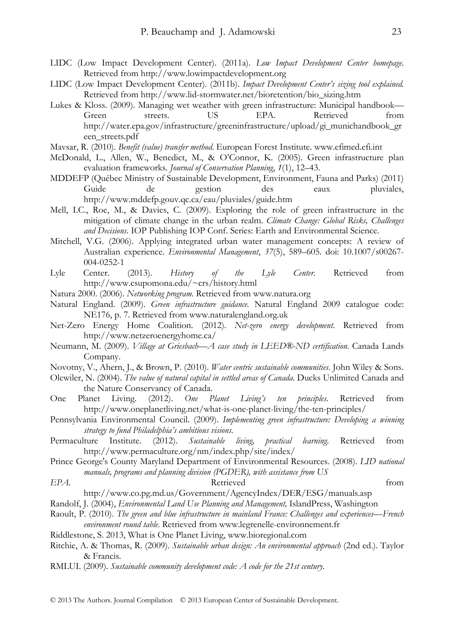- LIDC (Low Impact Development Center). (2011a). *Low Impact Development Center homepage*. Retrieved from http://www.lowimpactdevelopment.org
- LIDC (Low Impact Development Center). (2011b). *Impact Development Center's sizing tool explained.*  Retrieved from http://www.lid-stormwater.net/bioretention/bio\_sizing.htm
- Lukes & Kloss. (2009). Managing wet weather with green infrastructure: Municipal handbook— Green streets. US EPA. Retrieved from http://water.epa.gov/infrastructure/greeninfrastructure/upload/gi\_munichandbook\_gr een\_streets.pdf
- Mavsar, R. (2010). *Benefit (value) transfer method*. European Forest Institute. www.efimed.efi.int
- McDonald, L., Allen, W., Benedict, M., & O'Connor, K. (2005). Green infrastructure plan evaluation frameworks. *Journal of Conservation Planning*, *1*(1), 12–43.
- MDDEFP (Québec Ministry of Sustainable Development, Environment, Fauna and Parks) (2011) Guide de gestion des eaux pluviales, http://www.mddefp.gouv.qc.ca/eau/pluviales/guide.htm
- Mell, I.C., Roe, M., & Davies, C. (2009). Exploring the role of green infrastructure in the mitigation of climate change in the urban realm. *Climate Change: Global Risks, Challenges and Decisions*. IOP Publishing IOP Conf. Series: Earth and Environmental Science.
- Mitchell, V.G. (2006). Applying integrated urban water management concepts: A review of Australian experience. *Environmental Management*, *37*(5), 589–605. doi: 10.1007/s00267- 004-0252-1
- Lyle Center. (2013). *History of the Lyle Center.* Retrieved from http://www.csupomona.edu/~crs/history.html
- Natura 2000. (2006). *Networking program*. Retrieved from www.natura.org
- Natural England. (2009). *Green infrastructure guidance.* Natural England 2009 catalogue code: NE176, p. 7. Retrieved from www.naturalengland.org.uk
- Net-Zero Energy Home Coalition. (2012). *Net-zero energy development*. Retrieved from http://www.netzeroenergyhome.ca/
- Neumann, M. (2009). *Village at Griesbach—A case study in LEED®-ND certification*. Canada Lands Company.
- Novotny, V., Ahern, J., & Brown, P. (2010). *Water centric sustainable communities*. John Wiley & Sons.
- Olewiler, N. (2004). *The value of natural capital in settled areas of Canada*. Ducks Unlimited Canada and the Nature Conservancy of Canada.
- One Planet Living. (2012). *One Planet Living's ten principles*. Retrieved from http://www.oneplanetliving.net/what-is-one-planet-living/the-ten-principles/
- Pennsylvania Environmental Council. (2009). *Implementing green infrastructure: Developing a winning strategy to fund Philadelphia's ambitious visions*.
- Permaculture Institute. (2012). *Sustainable living, practical learning*. Retrieved from http://www.permaculture.org/nm/index.php/site/index/
- Prince George's County Maryland Department of Environmental Resources. (2008). *LID national manuals, programs and planning division (PGDER), with assistance from US*

#### *EPA*. **Retrieved from**

- http://www.co.pg.md.us/Government/AgencyIndex/DER/ESG/manuals.asp
- Randolf, J. (2004), *Environmental Land Use Planning and Management,* IslandPress, Washington
- Raoult, P. (2010). *The green and blue infrastructure in mainland France: Challenges and experiences—French environment round table*. Retrieved from www.legrenelle-environnement.fr

Riddlestone, S. 2013, What is One Planet Living, www.bioregional.com

- Ritchie, A. & Thomas, R. (2009). *Sustainable urban design: An environmental approach* (2nd ed.). Taylor & Francis.
- RMLUI. (2009). *Sustainable community development code: A code for the 21st century*.